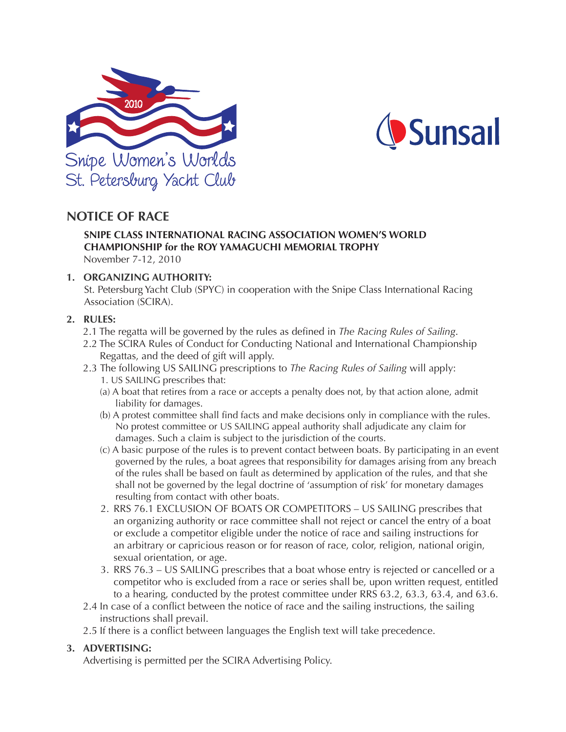



# **NOTICE OF RACE**

## **SNIPE CLASS INTERNATIONAL RACING ASSOCIATION WOMEN'S WORLD CHAMPIONSHIP for the ROY YAMAGUCHI MEMORIAL TROPHY** November 7-12, 2010

## **1. ORGANIZING AUTHORITY:**

St. Petersburg Yacht Club (SPYC) in cooperation with the Snipe Class International Racing Association (SCIRA).

## **2. RULES:**

- 2.1 The regatta will be governed by the rules as defined in *The Racing Rules of Sailing*.
- 2.2 The SCIRA Rules of Conduct for Conducting National and International Championship Regattas, and the deed of gift will apply.
- 2.3 The following US SAILING prescriptions to *The Racing Rules of Sailing* will apply:
	- 1. US SAILING prescribes that:
	- (a) A boat that retires from a race or accepts a penalty does not, by that action alone, admit liability for damages.
	- (b) A protest committee shall find facts and make decisions only in compliance with the rules. No protest committee or US SAILING appeal authority shall adjudicate any claim for damages. Such a claim is subject to the jurisdiction of the courts.
	- (c) A basic purpose of the rules is to prevent contact between boats. By participating in an event governed by the rules, a boat agrees that responsibility for damages arising from any breach of the rules shall be based on fault as determined by application of the rules, and that she shall not be governed by the legal doctrine of 'assumption of risk' for monetary damages resulting from contact with other boats.
	- 2. RRS 76.1 EXCLUSION OF BOATS OR COMPETITORS US SAILING prescribes that an organizing authority or race committee shall not reject or cancel the entry of a boat or exclude a competitor eligible under the notice of race and sailing instructions for an arbitrary or capricious reason or for reason of race, color, religion, national origin, sexual orientation, or age.
	- 3. RRS 76.3 US SAILING prescribes that a boat whose entry is rejected or cancelled or a competitor who is excluded from a race or series shall be, upon written request, entitled to a hearing, conducted by the protest committee under RRS 63.2, 63.3, 63.4, and 63.6.
- 2.4 In case of a conflict between the notice of race and the sailing instructions, the sailing instructions shall prevail.
- 2.5 If there is a conflict between languages the English text will take precedence.

# **3. ADVERTISING:**

Advertising is permitted per the SCIRA Advertising Policy.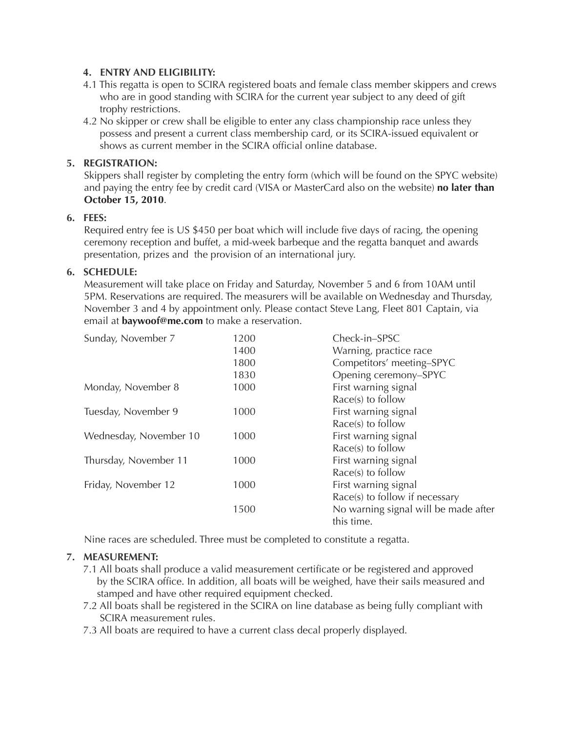# **4. ENTRY AND ELIGIBILITY:**

- 4.1 This regatta is open to SCIRA registered boats and female class member skippers and crews who are in good standing with SCIRA for the current year subject to any deed of gift trophy restrictions.
- 4.2 No skipper or crew shall be eligible to enter any class championship race unless they possess and present a current class membership card, or its SCIRA-issued equivalent or shows as current member in the SCIRA official online database.

# **5. REGISTRATION:**

Skippers shall register by completing the entry form (which will be found on the SPYC website) and paying the entry fee by credit card (VISA or MasterCard also on the website) **no later than October 15, 2010**.

# **6. FEES:**

Required entry fee is US \$450 per boat which will include five days of racing, the opening ceremony reception and buffet, a mid-week barbeque and the regatta banquet and awards presentation, prizes and the provision of an international jury.

# **6. SCHEDULE:**

Measurement will take place on Friday and Saturday, November 5 and 6 from 10AM until 5PM. Reservations are required. The measurers will be available on Wednesday and Thursday, November 3 and 4 by appointment only. Please contact Steve Lang, Fleet 801 Captain, via email at **baywoof@me.com** to make a reservation.

| 1200 | Check-in-SPSC                        |
|------|--------------------------------------|
| 1400 | Warning, practice race               |
| 1800 | Competitors' meeting-SPYC            |
| 1830 | Opening ceremony-SPYC                |
| 1000 | First warning signal                 |
|      | $Race(s)$ to follow                  |
| 1000 | First warning signal                 |
|      | $Race(s)$ to follow                  |
| 1000 | First warning signal                 |
|      | Race(s) to follow                    |
| 1000 | First warning signal                 |
|      | Race(s) to follow                    |
| 1000 | First warning signal                 |
| 1500 | Race(s) to follow if necessary       |
|      | No warning signal will be made after |
|      | this time.                           |
|      |                                      |

Nine races are scheduled. Three must be completed to constitute a regatta.

# **7. MEASUREMENT:**

- 7.1 All boats shall produce a valid measurement certificate or be registered and approved by the SCIRA office. In addition, all boats will be weighed, have their sails measured and stamped and have other required equipment checked.
- 7.2 All boats shall be registered in the SCIRA on line database as being fully compliant with SCIRA measurement rules.
- 7.3 All boats are required to have a current class decal properly displayed.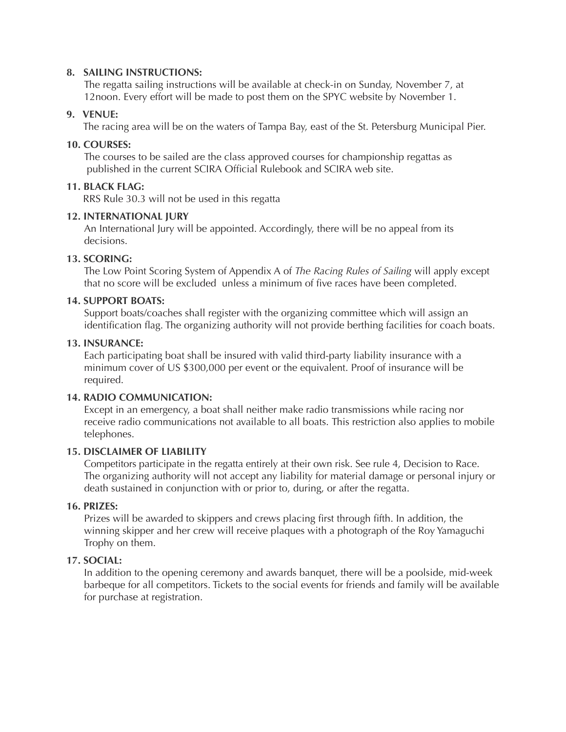## **8. SAILING INSTRUCTIONS:**

The regatta sailing instructions will be available at check-in on Sunday, November 7, at 12noon. Every effort will be made to post them on the SPYC website by November 1.

## **9. VENUE:**

The racing area will be on the waters of Tampa Bay, east of the St. Petersburg Municipal Pier.

## **10. COURSES:**

The courses to be sailed are the class approved courses for championship regattas as published in the current SCIRA Official Rulebook and SCIRA web site.

# **11. BLACK FLAG:**

RRS Rule 30.3 will not be used in this regatta

## **12. INTERNATIONAL JURY**

An International Jury will be appointed. Accordingly, there will be no appeal from its decisions.

## **13. SCORING:**

The Low Point Scoring System of Appendix A of *The Racing Rules of Sailing* will apply except that no score will be excluded unless a minimum of five races have been completed.

#### **14. SUPPORT BOATS:**

Support boats/coaches shall register with the organizing committee which will assign an identification flag. The organizing authority will not provide berthing facilities for coach boats.

## **13. INSURANCE:**

Each participating boat shall be insured with valid third-party liability insurance with a minimum cover of US \$300,000 per event or the equivalent. Proof of insurance will be required.

#### **14. RADIO COMMUNICATION:**

Except in an emergency, a boat shall neither make radio transmissions while racing nor receive radio communications not available to all boats. This restriction also applies to mobile telephones.

# **15. DISCLAIMER OF LIABILITY**

Competitors participate in the regatta entirely at their own risk. See rule 4, Decision to Race. The organizing authority will not accept any liability for material damage or personal injury or death sustained in conjunction with or prior to, during, or after the regatta.

# **16. PRIZES:**

Prizes will be awarded to skippers and crews placing first through fifth. In addition, the winning skipper and her crew will receive plaques with a photograph of the Roy Yamaguchi Trophy on them.

#### **17. SOCIAL:**

In addition to the opening ceremony and awards banquet, there will be a poolside, mid-week barbeque for all competitors. Tickets to the social events for friends and family will be available for purchase at registration.